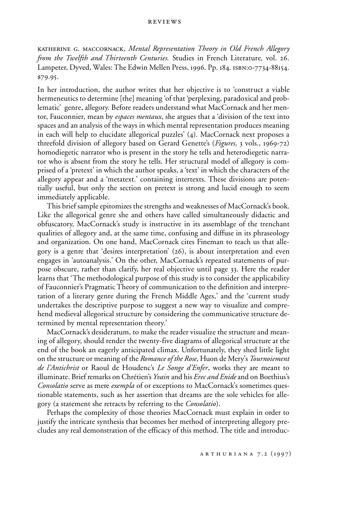katherine g. maccornack, *Mental Representation Theory in Old French Allegory from the Twelfth and Thirteenth Centuries.* Studies in French Literature*,* vol. 26. Lampeter, Dyved, Wales: The Edwin Mellen Press, 1996. Pp. 184. isbn:0-7734-88154. \$79.95.

In her introduction, the author writes that her objective is to 'construct a viable hermeneutics to determine [the] meaning 'of that 'perplexing, paradoxical and problematic' genre, allegory. Before readers understand what MacCornack and her mentor, Fauconnier, mean by *espaces mentaux*, she argues that a 'division of the text into spaces and an analysis of the ways in which mental representation produces meaning in each will help to elucidate allegorical puzzles' (4). MacCornack next proposes a threefold division of allegory based on Gerard Genette's (*Figures,* 3 vols., 1969-72) homodiegetic narrator who is present in the story he tells and heterodiegetic narrator who is absent from the story he tells. Her structural model of allegory is comprised of a 'pretext' in which the author speaks, a 'text' in which the characters of the allegory appear and a 'metatext.' containing intertexts. These divisions are potentially useful, but only the section on pretext is strong and lucid enough to seem immediately applicable.

This brief sample epitomizes the strengths and weaknesses of MacCornack's book. Like the allegorical genre she and others have called simultaneously didactic and obfuscatory, MacCornack's study is instructive in its assemblage of the trenchant qualities of allegory and, at the same time, confusing and diffuse in its phraseology and organization. On one hand, MacCornack cites Fineman to teach us that allegory is a genre that 'desires interpretation' (26), is about interpretation and even engages in 'autoanalysis.' On the other, MacCornack's repeated statements of purpose obscure, rather than clarify, her real objective until page 33. Here the reader learns that 'The methodological purpose of this study is to consider the applicability of Fauconnier's Pragmatic Theory of communication to the definition and interpretation of a literary genre during the French Middle Ages,' and the 'current study undertakes the descriptive purpose to suggest a new way to visualize and comprehend medieval allegorical structure by considering the communicative structure determined by mental representation theory.'

MacCornack's desideratum, to make the reader visualize the structure and meaning of allegory, should render the twenty-five diagrams of allegorical structure at the end of the book an eagerly anticipated climax. Unfortunately, they shed little light on the structure or meaning of the *Romance of the Rose*, Huon de Mery's *Tournoiement de l'Antichrist* or Raoul de Houdenc's *Le Songe d'Enfer*, works they are meant to illuminate. Brief remarks on Chrétien's *Yvain* and his *Erec and Enide* and on Boethius's *Consolatio* serve as mere *exempla* of or exceptions to MacCornack's sometimes questionable statements, such as her assertion that dreams are the sole vehicles for allegory (a statement she retracts by referring to the *Consolatio*).

Perhaps the complexity of those theories MacCornack must explain in order to justify the intricate synthesis that becomes her method of interpreting allegory precludes any real demonstration of the efficacy of this method. The title and introduc-